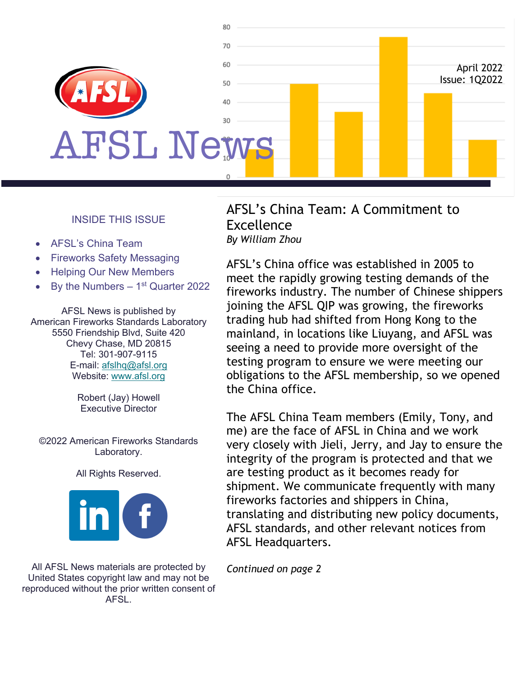

#### INSIDE THIS ISSUE

- AFSL's China Team
- Fireworks Safety Messaging
- Helping Our New Members
- By the Numbers  $-1<sup>st</sup>$  Quarter 2022

AFSL News is published by American Fireworks Standards Laboratory 5550 Friendship Blvd, Suite 420 Chevy Chase, MD 20815 Tel: 301-907-9115 E-mail: afslhq@afsl.org Website: www.afsl.org

> Robert (Jay) Howell Executive Director

©2022 American Fireworks Standards Laboratory.

All Rights Reserved.



All AFSL News materials are protected by United States copyright law and may not be reproduced without the prior written consent of AFSL.

#### AFSL's China Team: A Commitment to Excellence *By William Zhou*

AFSL's China office was established in 2005 to meet the rapidly growing testing demands of the fireworks industry. The number of Chinese shippers joining the AFSL QIP was growing, the fireworks trading hub had shifted from Hong Kong to the mainland, in locations like Liuyang, and AFSL was seeing a need to provide more oversight of the testing program to ensure we were meeting our obligations to the AFSL membership, so we opened the China office.

The AFSL China Team members (Emily, Tony, and me) are the face of AFSL in China and we work very closely with Jieli, Jerry, and Jay to ensure the integrity of the program is protected and that we are testing product as it becomes ready for shipment. We communicate frequently with many fireworks factories and shippers in China, translating and distributing new policy documents, AFSL standards, and other relevant notices from AFSL Headquarters.

*Continued on page 2*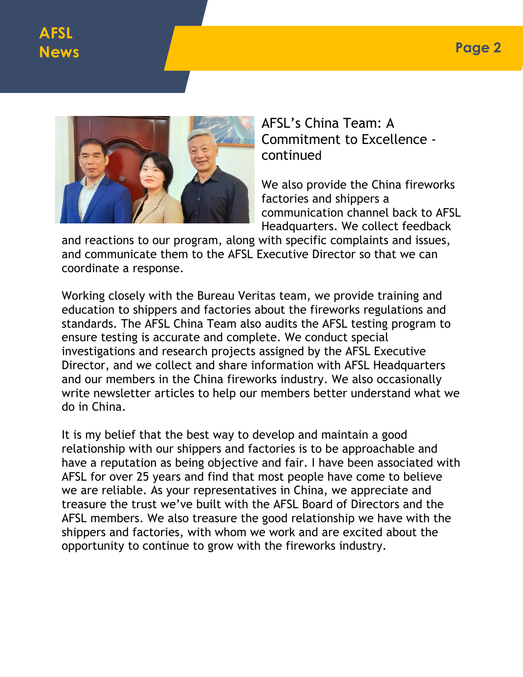

AFSL's China Team: A Commitment to Excellence continued

We also provide the China fireworks factories and shippers a communication channel back to AFSL Headquarters. We collect feedback

and reactions to our program, along with specific complaints and issues, and communicate them to the AFSL Executive Director so that we can coordinate a response.

Working closely with the Bureau Veritas team, we provide training and education to shippers and factories about the fireworks regulations and standards. The AFSL China Team also audits the AFSL testing program to ensure testing is accurate and complete. We conduct special investigations and research projects assigned by the AFSL Executive Director, and we collect and share information with AFSL Headquarters and our members in the China fireworks industry. We also occasionally write newsletter articles to help our members better understand what we do in China.

It is my belief that the best way to develop and maintain a good relationship with our shippers and factories is to be approachable and have a reputation as being objective and fair. I have been associated with AFSL for over 25 years and find that most people have come to believe we are reliable. As your representatives in China, we appreciate and treasure the trust we've built with the AFSL Board of Directors and the AFSL members. We also treasure the good relationship we have with the shippers and factories, with whom we work and are excited about the opportunity to continue to grow with the fireworks industry.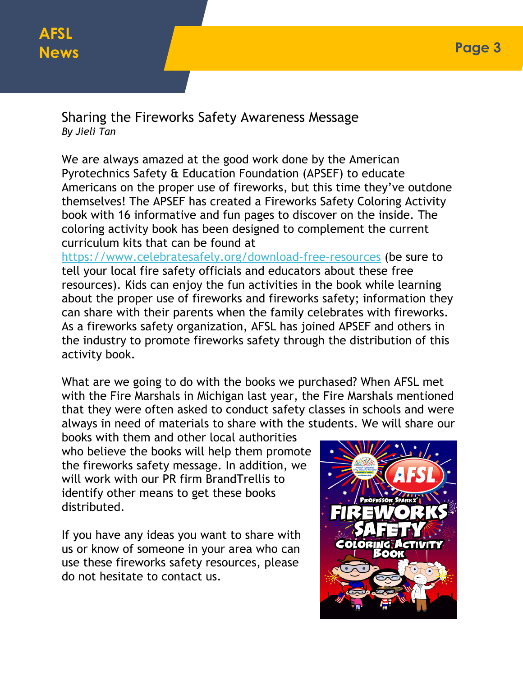# **AFSL News**

Sharing the Fireworks Safety Awareness Message *By Jieli Tan*

We are always amazed at the good work done by the American Pyrotechnics Safety & Education Foundation (APSEF) to educate Americans on the proper use of fireworks, but this time they've outdone themselves! The APSEF has created a Fireworks Safety Coloring Activity book with 16 informative and fun pages to discover on the inside. The coloring activity book has been designed to complement the current curriculum kits that can be found at

https://www.celebratesafely.org/download-free-resources (be sure to tell your local fire safety officials and educators about these free resources). Kids can enjoy the fun activities in the book while learning about the proper use of fireworks and fireworks safety; information they can share with their parents when the family celebrates with fireworks. As a fireworks safety organization, AFSL has joined APSEF and others in the industry to promote fireworks safety through the distribution of this activity book.

What are we going to do with the books we purchased? When AFSL met with the Fire Marshals in Michigan last year, the Fire Marshals mentioned that they were often asked to conduct safety classes in schools and were always in need of materials to share with the students. We will share our

books with them and other local authorities who believe the books will help them promote the fireworks safety message. In addition, we will work with our PR firm BrandTrellis to identify other means to get these books distributed.

If you have any ideas you want to share with us or know of someone in your area who can use these fireworks safety resources, please do not hesitate to contact us.

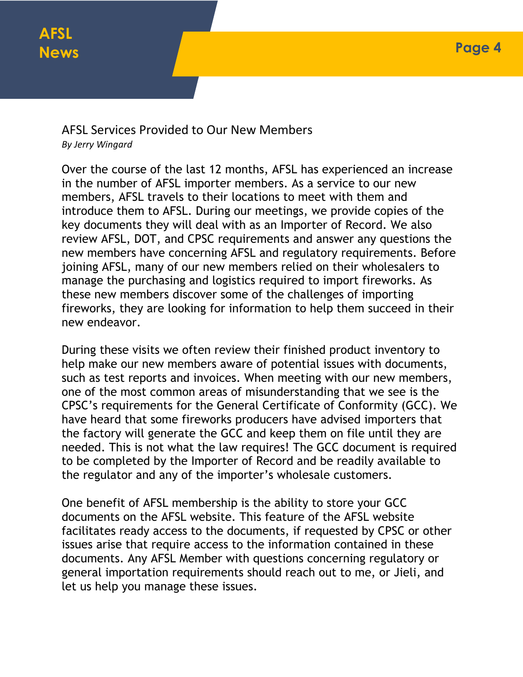### AFSL Services Provided to Our New Members *By Jerry Wingard*

Over the course of the last 12 months, AFSL has experienced an increase in the number of AFSL importer members. As a service to our new members, AFSL travels to their locations to meet with them and introduce them to AFSL. During our meetings, we provide copies of the key documents they will deal with as an Importer of Record. We also review AFSL, DOT, and CPSC requirements and answer any questions the new members have concerning AFSL and regulatory requirements. Before joining AFSL, many of our new members relied on their wholesalers to manage the purchasing and logistics required to import fireworks. As these new members discover some of the challenges of importing fireworks, they are looking for information to help them succeed in their new endeavor.

During these visits we often review their finished product inventory to help make our new members aware of potential issues with documents, such as test reports and invoices. When meeting with our new members, one of the most common areas of misunderstanding that we see is the CPSC's requirements for the General Certificate of Conformity (GCC). We have heard that some fireworks producers have advised importers that the factory will generate the GCC and keep them on file until they are needed. This is not what the law requires! The GCC document is required to be completed by the Importer of Record and be readily available to the regulator and any of the importer's wholesale customers.

One benefit of AFSL membership is the ability to store your GCC documents on the AFSL website. This feature of the AFSL website facilitates ready access to the documents, if requested by CPSC or other issues arise that require access to the information contained in these documents. Any AFSL Member with questions concerning regulatory or general importation requirements should reach out to me, or Jieli, and let us help you manage these issues.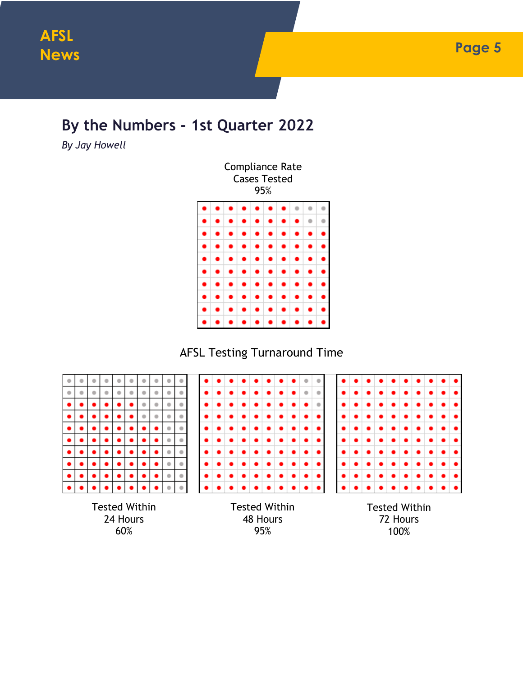## **By the Numbers - 1st Quarter 2022**

*By Jay Howell*

AFSL Testing Turnaround Time



60%

95%

72 Hours 100%